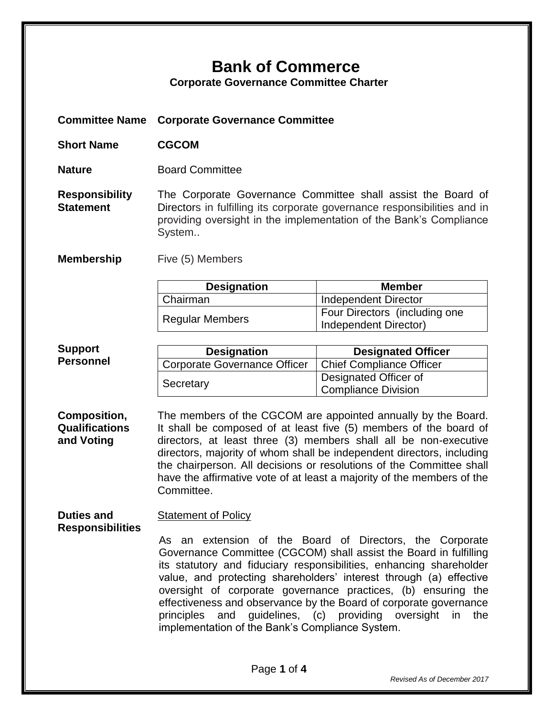## **Bank of Commerce**

**Corporate Governance Committee Charter**

**Committee Name Corporate Governance Committee**

**Short Name CGCOM**

**Nature Board Committee** 

**Responsibility Statement** The Corporate Governance Committee shall assist the Board of Directors in fulfilling its corporate governance responsibilities and in providing oversight in the implementation of the Bank's Compliance System..

**Membership** Five (5) Members

| <b>Designation</b>     | <b>Member</b>                                          |
|------------------------|--------------------------------------------------------|
| Chairman               | Independent Director                                   |
| <b>Regular Members</b> | Four Directors (including one<br>Independent Director) |

## **Support Personnel**

| <b>Designation</b>           | <b>Designated Officer</b>                    |
|------------------------------|----------------------------------------------|
| Corporate Governance Officer | Chief Compliance Officer                     |
| Secretary                    | Designated Officer of<br>Compliance Division |

**Composition, Qualifications and Voting** The members of the CGCOM are appointed annually by the Board. It shall be composed of at least five (5) members of the board of directors, at least three (3) members shall all be non-executive directors, majority of whom shall be independent directors, including the chairperson. All decisions or resolutions of the Committee shall have the affirmative vote of at least a majority of the members of the Committee.

**Duties and Responsibilities Statement of Policy** 

As an extension of the Board of Directors, the Corporate Governance Committee (CGCOM) shall assist the Board in fulfilling its statutory and fiduciary responsibilities, enhancing shareholder value, and protecting shareholders' interest through (a) effective oversight of corporate governance practices, (b) ensuring the effectiveness and observance by the Board of corporate governance principles and guidelines, (c) providing oversight in the implementation of the Bank's Compliance System.

*Revised As of December 2017*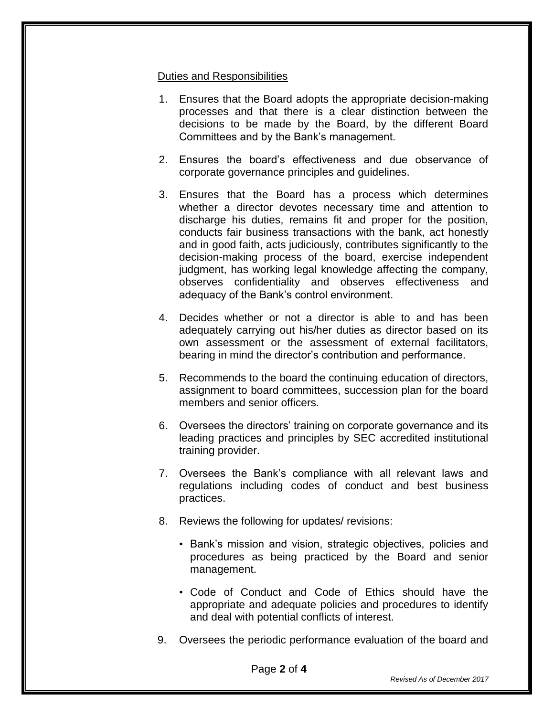## Duties and Responsibilities

- 1. Ensures that the Board adopts the appropriate decision-making processes and that there is a clear distinction between the decisions to be made by the Board, by the different Board Committees and by the Bank's management.
- 2. Ensures the board's effectiveness and due observance of corporate governance principles and guidelines.
- 3. Ensures that the Board has a process which determines whether a director devotes necessary time and attention to discharge his duties, remains fit and proper for the position, conducts fair business transactions with the bank, act honestly and in good faith, acts judiciously, contributes significantly to the decision-making process of the board, exercise independent judgment, has working legal knowledge affecting the company, observes confidentiality and observes effectiveness and adequacy of the Bank's control environment.
- 4. Decides whether or not a director is able to and has been adequately carrying out his/her duties as director based on its own assessment or the assessment of external facilitators, bearing in mind the director's contribution and performance.
- 5. Recommends to the board the continuing education of directors, assignment to board committees, succession plan for the board members and senior officers.
- 6. Oversees the directors' training on corporate governance and its leading practices and principles by SEC accredited institutional training provider.
- 7. Oversees the Bank's compliance with all relevant laws and regulations including codes of conduct and best business practices.
- 8. Reviews the following for updates/ revisions:
	- Bank's mission and vision, strategic objectives, policies and procedures as being practiced by the Board and senior management.
	- Code of Conduct and Code of Ethics should have the appropriate and adequate policies and procedures to identify and deal with potential conflicts of interest.
- 9. Oversees the periodic performance evaluation of the board and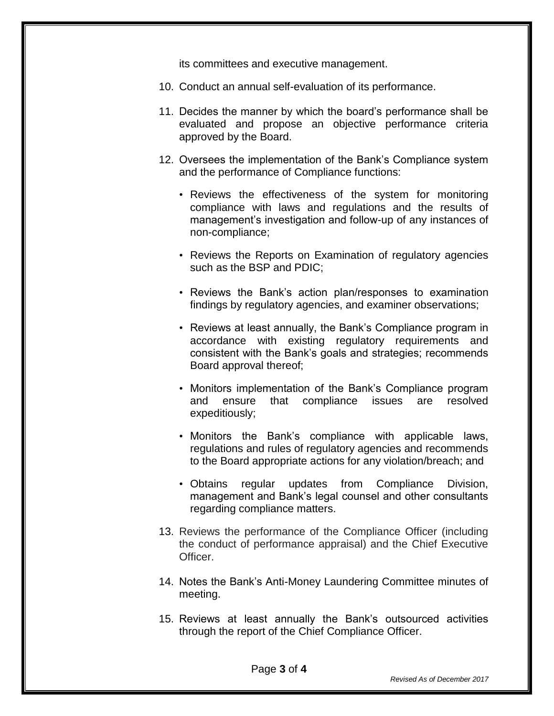its committees and executive management.

- 10. Conduct an annual self-evaluation of its performance.
- 11. Decides the manner by which the board's performance shall be evaluated and propose an objective performance criteria approved by the Board.
- 12. Oversees the implementation of the Bank's Compliance system and the performance of Compliance functions:
	- Reviews the effectiveness of the system for monitoring compliance with laws and regulations and the results of management's investigation and follow-up of any instances of non-compliance;
	- Reviews the Reports on Examination of regulatory agencies such as the BSP and PDIC;
	- Reviews the Bank's action plan/responses to examination findings by regulatory agencies, and examiner observations;
	- Reviews at least annually, the Bank's Compliance program in accordance with existing regulatory requirements and consistent with the Bank's goals and strategies; recommends Board approval thereof;
	- Monitors implementation of the Bank's Compliance program and ensure that compliance issues are resolved expeditiously;
	- Monitors the Bank's compliance with applicable laws, regulations and rules of regulatory agencies and recommends to the Board appropriate actions for any violation/breach; and
	- Obtains regular updates from Compliance Division, management and Bank's legal counsel and other consultants regarding compliance matters.
- 13. Reviews the performance of the Compliance Officer (including the conduct of performance appraisal) and the Chief Executive Officer.
- 14. Notes the Bank's Anti-Money Laundering Committee minutes of meeting.
- 15. Reviews at least annually the Bank's outsourced activities through the report of the Chief Compliance Officer.